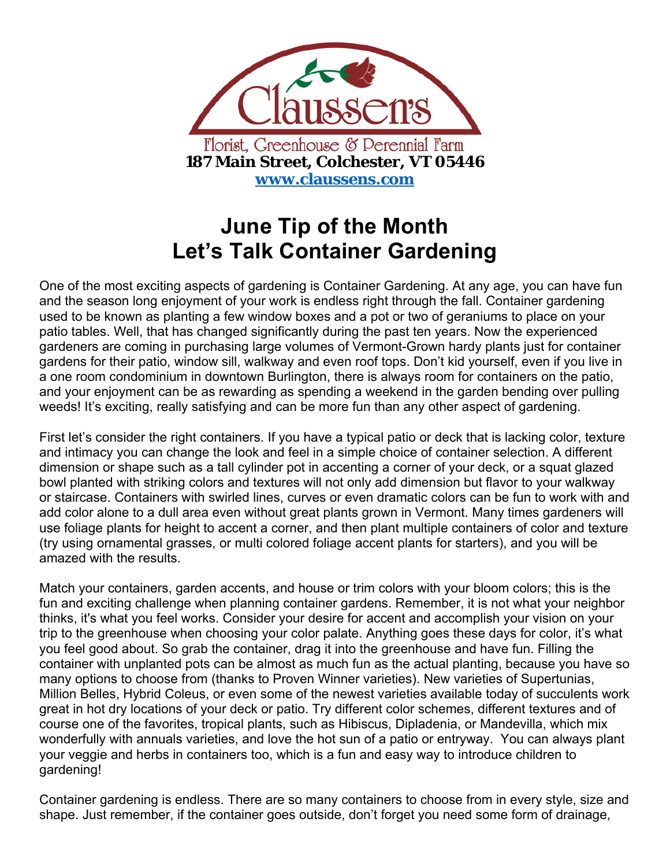

## **June Tip of the Month Let's Talk Container Gardening**

One of the most exciting aspects of gardening is Container Gardening. At any age, you can have fun and the season long enjoyment of your work is endless right through the fall. Container gardening used to be known as planting a few window boxes and a pot or two of geraniums to place on your patio tables. Well, that has changed significantly during the past ten years. Now the experienced gardeners are coming in purchasing large volumes of Vermont-Grown hardy plants just for container gardens for their patio, window sill, walkway and even roof tops. Don't kid yourself, even if you live in a one room condominium in downtown Burlington, there is always room for containers on the patio, and your enjoyment can be as rewarding as spending a weekend in the garden bending over pulling weeds! It's exciting, really satisfying and can be more fun than any other aspect of gardening.

First let's consider the right containers. If you have a typical patio or deck that is lacking color, texture and intimacy you can change the look and feel in a simple choice of container selection. A different dimension or shape such as a tall cylinder pot in accenting a corner of your deck, or a squat glazed bowl planted with striking colors and textures will not only add dimension but flavor to your walkway or staircase. Containers with swirled lines, curves or even dramatic colors can be fun to work with and add color alone to a dull area even without great plants grown in Vermont. Many times gardeners will use foliage plants for height to accent a corner, and then plant multiple containers of color and texture (try using ornamental grasses, or multi colored foliage accent plants for starters), and you will be amazed with the results.

Match your containers, garden accents, and house or trim colors with your bloom colors; this is the fun and exciting challenge when planning container gardens. Remember, it is not what your neighbor thinks, it's what you feel works. Consider your desire for accent and accomplish your vision on your trip to the greenhouse when choosing your color palate. Anything goes these days for color, it's what you feel good about. So grab the container, drag it into the greenhouse and have fun. Filling the container with unplanted pots can be almost as much fun as the actual planting, because you have so many options to choose from (thanks to Proven Winner varieties). New varieties of Supertunias, Million Belles, Hybrid Coleus, or even some of the newest varieties available today of succulents work great in hot dry locations of your deck or patio. Try different color schemes, different textures and of course one of the favorites, tropical plants, such as Hibiscus, Dipladenia, or Mandevilla, which mix wonderfully with annuals varieties, and love the hot sun of a patio or entryway. You can always plant your veggie and herbs in containers too, which is a fun and easy way to introduce children to gardening!

Container gardening is endless. There are so many containers to choose from in every style, size and shape. Just remember, if the container goes outside, don't forget you need some form of drainage,